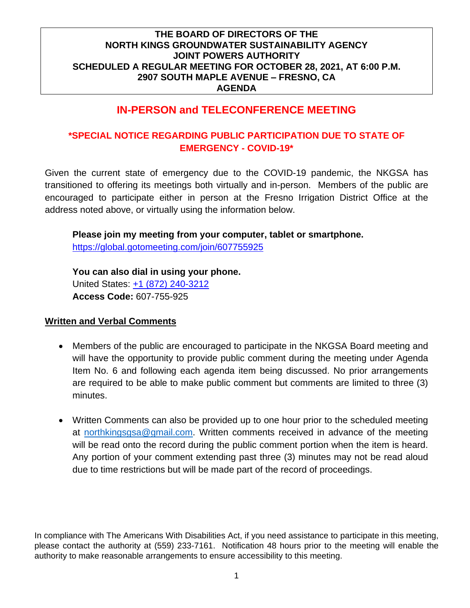# **IN-PERSON and TELECONFERENCE MEETING**

## **\*SPECIAL NOTICE REGARDING PUBLIC PARTICIPATION DUE TO STATE OF EMERGENCY - COVID-19\***

Given the current state of emergency due to the COVID-19 pandemic, the NKGSA has transitioned to offering its meetings both virtually and in-person. Members of the public are encouraged to participate either in person at the Fresno Irrigation District Office at the address noted above, or virtually using the information below.

**Please join my meeting from your computer, tablet or smartphone.** 

<https://global.gotomeeting.com/join/607755925>

**You can also dial in using your phone.** United States: [+1 \(872\) 240-3212](tel:+18722403212,,607755925) **Access Code:** 607-755-925

#### **Written and Verbal Comments**

- Members of the public are encouraged to participate in the NKGSA Board meeting and will have the opportunity to provide public comment during the meeting under Agenda Item No. 6 and following each agenda item being discussed. No prior arrangements are required to be able to make public comment but comments are limited to three (3) minutes.
- Written Comments can also be provided up to one hour prior to the scheduled meeting at [northkingsgsa@gmail.com.](mailto:northkingsgsa@gmail.com) Written comments received in advance of the meeting will be read onto the record during the public comment portion when the item is heard. Any portion of your comment extending past three (3) minutes may not be read aloud due to time restrictions but will be made part of the record of proceedings.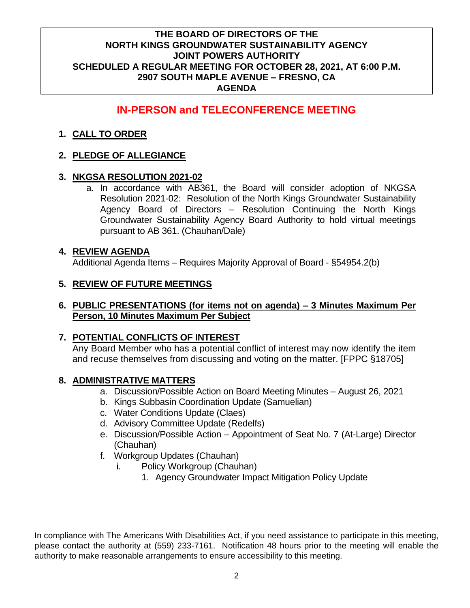# **IN-PERSON and TELECONFERENCE MEETING**

### **1. CALL TO ORDER**

### **2. PLEDGE OF ALLEGIANCE**

### **3. NKGSA RESOLUTION 2021-02**

a. In accordance with AB361, the Board will consider adoption of NKGSA Resolution 2021-02: Resolution of the North Kings Groundwater Sustainability Agency Board of Directors – Resolution Continuing the North Kings Groundwater Sustainability Agency Board Authority to hold virtual meetings pursuant to AB 361. (Chauhan/Dale)

### **4. REVIEW AGENDA**

Additional Agenda Items – Requires Majority Approval of Board - §54954.2(b)

### **5. REVIEW OF FUTURE MEETINGS**

### **6. PUBLIC PRESENTATIONS (for items not on agenda) – 3 Minutes Maximum Per Person, 10 Minutes Maximum Per Subject**

### **7. POTENTIAL CONFLICTS OF INTEREST**

Any Board Member who has a potential conflict of interest may now identify the item and recuse themselves from discussing and voting on the matter. [FPPC §18705]

### **8. ADMINISTRATIVE MATTERS**

- a. Discussion/Possible Action on Board Meeting Minutes August 26, 2021
- b. Kings Subbasin Coordination Update (Samuelian)
- c. Water Conditions Update (Claes)
- d. Advisory Committee Update (Redelfs)
- e. Discussion/Possible Action Appointment of Seat No. 7 (At-Large) Director (Chauhan)
- f. Workgroup Updates (Chauhan)
	- i. Policy Workgroup (Chauhan)
		- 1. Agency Groundwater Impact Mitigation Policy Update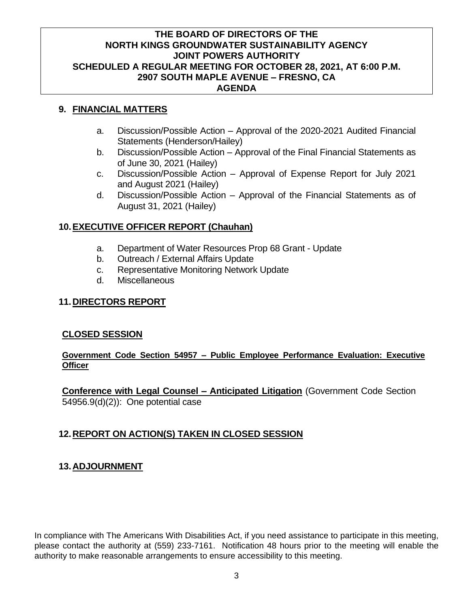### **9. FINANCIAL MATTERS**

- a. Discussion/Possible Action Approval of the 2020-2021 Audited Financial Statements (Henderson/Hailey)
- b. Discussion/Possible Action Approval of the Final Financial Statements as of June 30, 2021 (Hailey)
- c. Discussion/Possible Action Approval of Expense Report for July 2021 and August 2021 (Hailey)
- d. Discussion/Possible Action Approval of the Financial Statements as of August 31, 2021 (Hailey)

### **10.EXECUTIVE OFFICER REPORT (Chauhan)**

- a. Department of Water Resources Prop 68 Grant Update
- b. Outreach / External Affairs Update
- c. Representative Monitoring Network Update
- d. Miscellaneous

#### **11.DIRECTORS REPORT**

#### **CLOSED SESSION**

#### **Government Code Section 54957 – Public Employee Performance Evaluation: Executive Officer**

**Conference with Legal Counsel – Anticipated Litigation** (Government Code Section 54956.9(d)(2)): One potential case

### **12.REPORT ON ACTION(S) TAKEN IN CLOSED SESSION**

#### **13.ADJOURNMENT**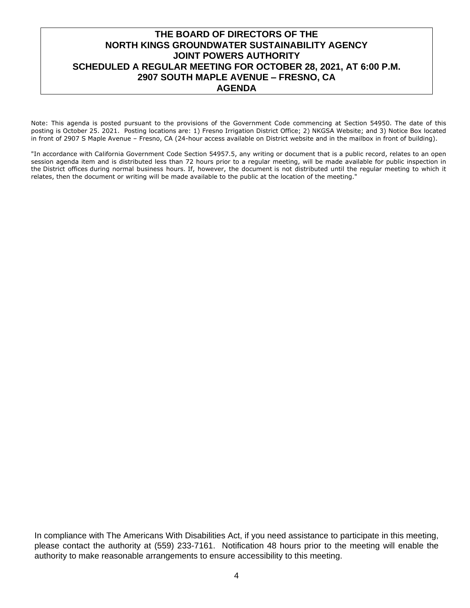Note: This agenda is posted pursuant to the provisions of the Government Code commencing at Section 54950. The date of this posting is October 25. 2021. Posting locations are: 1) Fresno Irrigation District Office; 2) NKGSA Website; and 3) Notice Box located in front of 2907 S Maple Avenue – Fresno, CA (24-hour access available on District website and in the mailbox in front of building).

"In accordance with California Government Code Section 54957.5, any writing or document that is a public record, relates to an open session agenda item and is distributed less than 72 hours prior to a regular meeting, will be made available for public inspection in the District offices during normal business hours. If, however, the document is not distributed until the regular meeting to which it relates, then the document or writing will be made available to the public at the location of the meeting."